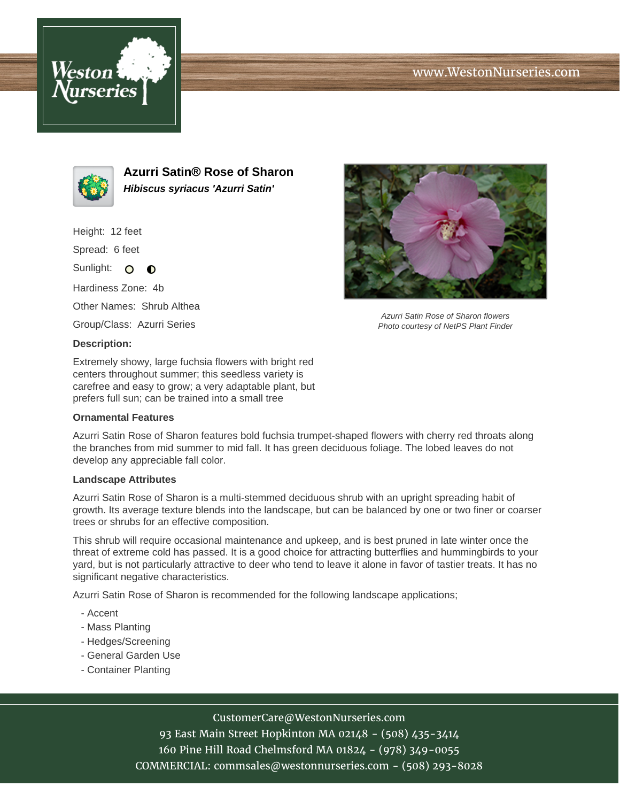





**Azurri Satin® Rose of Sharon Hibiscus syriacus 'Azurri Satin'**

Height: 12 feet

Spread: 6 feet

Sunlight: O **O** 

Hardiness Zone: 4b

Other Names: Shrub Althea

Group/Class: Azurri Series

## **Description:**

Extremely showy, large fuchsia flowers with bright red centers throughout summer; this seedless variety is carefree and easy to grow; a very adaptable plant, but prefers full sun; can be trained into a small tree

## **Ornamental Features**

Azurri Satin Rose of Sharon features bold fuchsia trumpet-shaped flowers with cherry red throats along the branches from mid summer to mid fall. It has green deciduous foliage. The lobed leaves do not develop any appreciable fall color.

## **Landscape Attributes**

Azurri Satin Rose of Sharon is a multi-stemmed deciduous shrub with an upright spreading habit of growth. Its average texture blends into the landscape, but can be balanced by one or two finer or coarser trees or shrubs for an effective composition.

This shrub will require occasional maintenance and upkeep, and is best pruned in late winter once the threat of extreme cold has passed. It is a good choice for attracting butterflies and hummingbirds to your yard, but is not particularly attractive to deer who tend to leave it alone in favor of tastier treats. It has no significant negative characteristics.

Azurri Satin Rose of Sharon is recommended for the following landscape applications;

- Accent
- Mass Planting
- Hedges/Screening
- General Garden Use
- Container Planting



93 East Main Street Hopkinton MA 02148 - (508) 435-3414 160 Pine Hill Road Chelmsford MA 01824 - (978) 349-0055 COMMERCIAL: commsales@westonnurseries.com - (508) 293-8028



Azurri Satin Rose of Sharon flowers Photo courtesy of NetPS Plant Finder